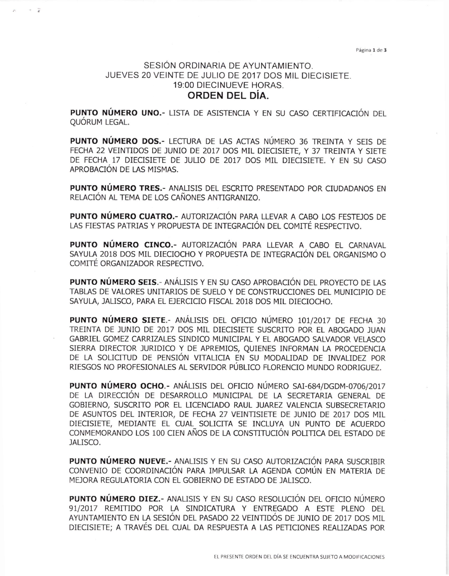Página 1 de 3

## SESIÓN ORDINARIA DE AYUNTAMIENTO. JUEVES 20 VEINTE DE JULIO DE 2017 DOS MIL DIECISIETE. 19:00 DIECINUEVE HORAS. ORDEN DEL DÍA.

PUNTO NÚMERO UNO.- LISTA DE ASISTENCIA Y EN SU CASO CERTIFICACIÓN DEL QUÓRUM LEGAL.

PUNTO NÚMERO DOS.- LECTURA DE LAS ACTAS NÚMERO 36 TREINTA Y SEIS DE FECHA 22 VEINTIDOS DE JUNIO DE 2017 DOS MIL DIECISIETE, Y 37 TREINTA Y SIETE DE FECHA 17 DIECISIETE DE JULIO DE 2017 DOS MIL DIECISIETE. Y EN SU CASO APROBACIÓN DE LAS MISMAS.

PUNTO NÚMERO TRES.- ANALISIS DEL ESCRITO PRESENTADO POR CIUDADANOS EN RELACIÓN AL TEMA DE LOS CAÑONES ANTIGRANIZO.

**PUNTO NÚMERO CUATRO.- AUTORIZACIÓN PARA LLEVAR A CABO LOS FESTEJOS DE** LAS FIESTAS PATRIAS Y PROPUESTA DE INTEGRACIÓN DEL COMITÉ RESPECTIVO.

PUNTO NÚMERO CINCO.- AUTORIZACIÓN PARA LLEVAR A CABO EL CARNAVAL SAYULA 2018 DOS MIL DIECIOCHO Y PROPUESTA DE INTEGRACIÓN DEL ORGANISMO O COMITÉ ORGANIZADOR RESPECTIVO.

**PUNTO NÚMERO SEIS.- ANÁLISIS Y EN SU CASO APROBACIÓN DEL PROYECTO DE LAS** TABLAS DE VALORES UNITARIOS DE SUELO Y DE CONSTRUCCIONES DEL MUNICIPIO DE SAYULA, JALISCO, PARA EL EJERCICIO FISCAL 2018 DOS MIL DIECIOCHO.

**PUNTO NÚMERO SIETE.- ANÁLISIS DEL OFICIO NÚMERO 101/2017 DE FECHA 30** TREINTA DE JUNIO DE 2017 DOS MIL DIECISIETE SUSCRITO POR EL ABOGADO JUAN GABRIEL GOMEZ CARRIZALES SINDICO MUNICIPAL Y EL ABOGADO SALVADOR VELASCO SIERRA DIRECTOR JURIDICO Y DE APREMIOS, QUIENES INFORMAN LA PROCEDENCIA DE LA SOLICITUD DE PENSIÓN VITALICIA EN SU MODALIDAD DE INVALIDEZ POR RIESGOS NO PROFESIONALES AL SERVIDOR PÚBLICO FLORENCIO MUNDO RODRIGUEZ.

PUNTO NÚMERO OCHO.- ANÁLISIS DEL OFICIO NÚMERO SAI-684/DGDM-0706/2017 DE LA DIRECCIÓN DE DESARROLLO MUNICIPAL DE LA SECRETARIA GENERAL DE GOBIERNO, SUSCRITO POR EL LICENCIADO RAUL JUAREZ VALENCIA SUBSECRETARIO DE ASUNTOS DEL INTERIOR, DE FECHA 27 VEINTISIETE DE JUNIO DE 2017 DOS MIL DIECISIETE, MEDIANTE EL CUAL SOLICITA SE INCLUYA UN PUNTO DE ACUERDO CONMEMORANDO LOS 100 CIEN AÑOS DE LA CONSTITUCIÓN POLITICA DEL ESTADO DE JALISCO.

**PUNTO NÚMERO NUEVE.- ANALISIS Y EN SU CASO AUTORIZACIÓN PARA SUSCRIBIR** CONVENIO DE COORDINACIÓN PARA IMPULSAR LA AGENDA COMÚN EN MATERIA DE MEJORA REGULATORIA CON EL GOBIERNO DE ESTADO DE JALISCO.

PUNTO NÚMERO DIEZ.- ANALISIS Y EN SU CASO RESOLUCIÓN DEL OFICIO NÚMERO 91/2017 REMITIDO POR LA SINDICATURA Y ENTREGADO A ESTE PLENO DEL AYUNTAMIENTO EN LA SESIÓN DEL PASADO 22 VEINTIDÓS DE JUNIO DE 2017 DOS MIL DIECISIETE; A TRAVÉS DEL CUAL DA RESPUESTA A LAS PETICIONES REALIZADAS POR